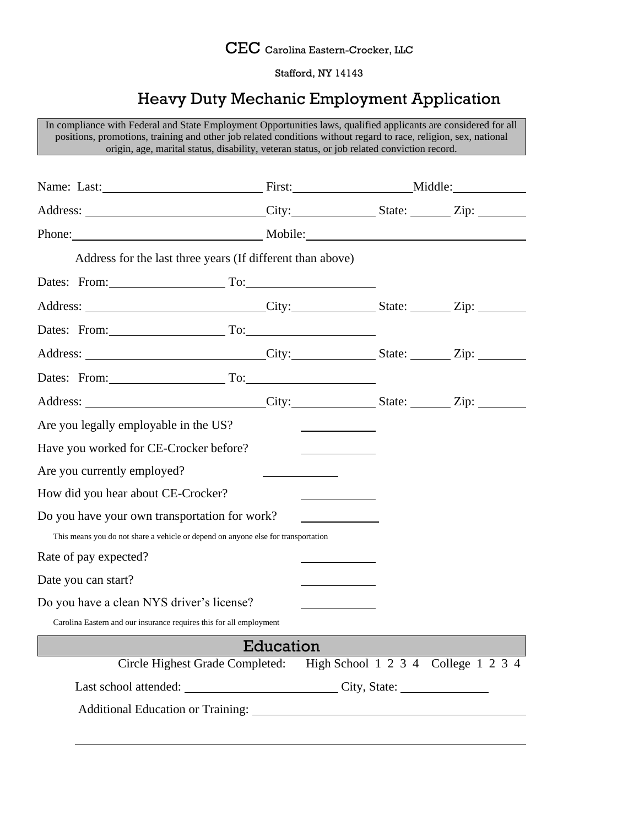

Stafford, NY 14143

## Heavy Duty Mechanic Employment Application

In compliance with Federal and State Employment Opportunities laws, qualified applicants are considered for all positions, promotions, training and other job related conditions without regard to race, religion, sex, national origin, age, marital status, disability, veteran status, or job related conviction record. Name: Last: Middle: Name: Last: Middle: Middle: Middle: Middle: Middle: Middle: Middle: Middle: Middle: Middle Address: City: State: Zip: Phone: Mobile: Mobile: Address for the last three years (If different than above) Dates: From: To: Address: City: City: State: Zip: Zip: Dates: From: To: To: Address: City: State: Zip: Dates: From: To: To: To: To: Address: City: State: Zip: Are you legally employable in the US? Have you worked for CE-Crocker before? Are you currently employed? How did you hear about CE-Crocker? Do you have your own transportation for work? This means you do not share a vehicle or depend on anyone else for transportation Rate of pay expected? Date you can start? Do you have a clean NYS driver's license? Carolina Eastern and our insurance requires this for all employment Education Circle Highest Grade Completed: High School 1 2 3 4 College 1 2 3 4 Last school attended: City, State: Additional Education or Training: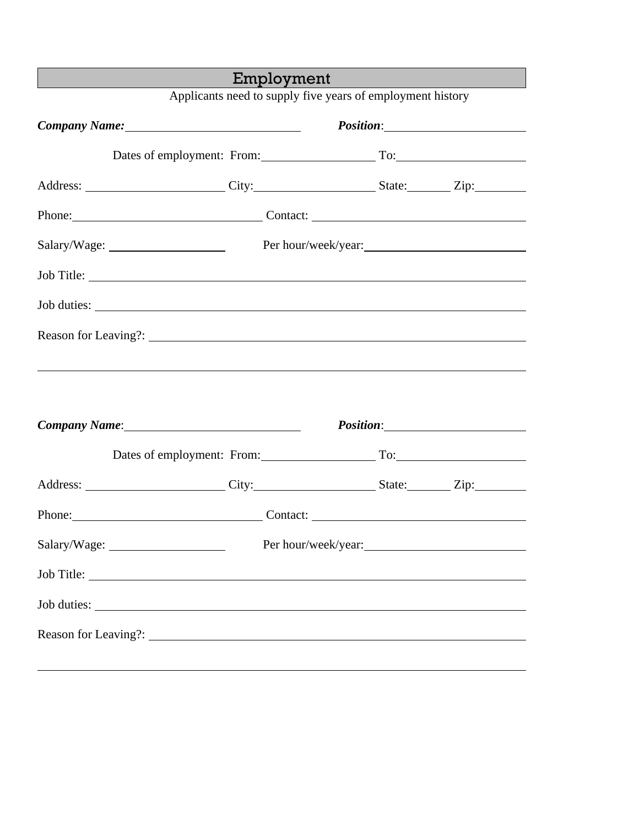|                                                             | Employment                         |  |                     |  |
|-------------------------------------------------------------|------------------------------------|--|---------------------|--|
| Applicants need to supply five years of employment history  |                                    |  |                     |  |
|                                                             |                                    |  |                     |  |
|                                                             | Dates of employment: From: To: To: |  |                     |  |
|                                                             |                                    |  |                     |  |
| Phone: Contact: Contact:                                    |                                    |  |                     |  |
| Salary/Wage: Per hour/week/year: Per hour/week/year:        |                                    |  |                     |  |
| Job Title:                                                  |                                    |  |                     |  |
|                                                             |                                    |  |                     |  |
|                                                             |                                    |  |                     |  |
| <u> 1999 - Johann Stoff, amerikansk politiker (d. 1989)</u> |                                    |  |                     |  |
|                                                             |                                    |  |                     |  |
|                                                             | Company Name: 1988                 |  |                     |  |
|                                                             | Dates of employment: From: To: To: |  |                     |  |
| Address: City: City: State: Zip:                            |                                    |  |                     |  |
| Phone: Contact: Contact:                                    |                                    |  |                     |  |
|                                                             |                                    |  | Per hour/week/year: |  |
|                                                             |                                    |  |                     |  |
|                                                             |                                    |  |                     |  |
|                                                             |                                    |  |                     |  |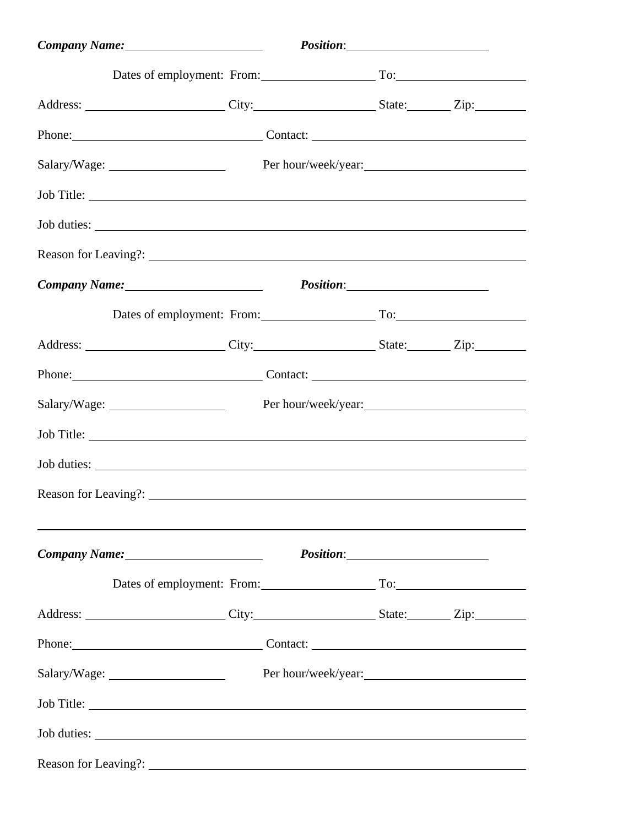| Company Name: 1988 Company Name:      |                     |  |
|---------------------------------------|---------------------|--|
| Dates of employment: From: To: To:    |                     |  |
|                                       |                     |  |
| Phone: Contact: Contact:              |                     |  |
| Salary/Wage:                          | Per hour/week/year: |  |
| Job Title:                            |                     |  |
|                                       |                     |  |
|                                       |                     |  |
| Company Name: 1988 Company Name:      |                     |  |
| Dates of employment: From: To: To:    |                     |  |
| Address: City: City: State: Zip: Zip: |                     |  |
| Phone: Contact: Contact:              |                     |  |
|                                       | Per hour/week/year: |  |
|                                       |                     |  |
| Job duties:                           |                     |  |
|                                       |                     |  |
|                                       |                     |  |
| Company Name: 1988 Company Name:      |                     |  |
| Dates of employment: From: To: To:    |                     |  |
|                                       |                     |  |
| Phone: Contact: Contact:              |                     |  |
|                                       | Per hour/week/year: |  |
| Job Title:                            |                     |  |
|                                       |                     |  |
|                                       |                     |  |